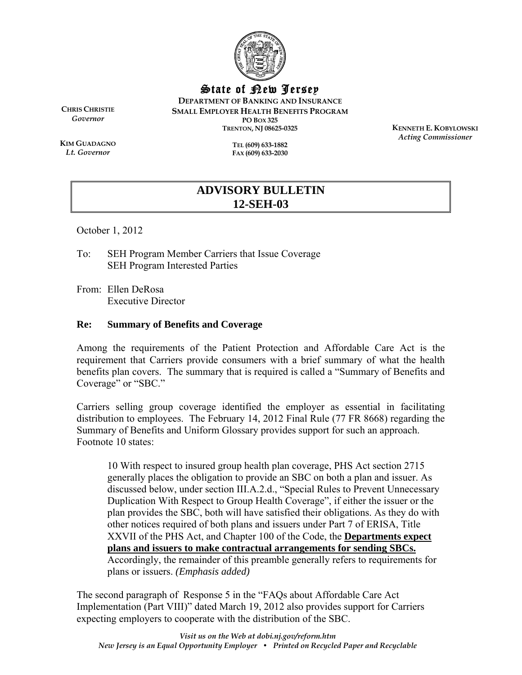

State of New Jersey

**DEPARTMENT OF BANKING AND INSURANCE SMALL EMPLOYER HEALTH BENEFITS PROGRAM PO BOX 325 TRENTON, NJ 08625-0325** 

**CHRIS CHRISTIE** *Governor* 

**KIM GUADAGNO** *Lt. Governor* 

**TEL (609) 633-1882 FAX (609) 633-2030**  **KENNETH E. KOBYLOWSKI** *Acting Commissioner* 

## **ADVISORY BULLETIN 12-SEH-03**

October 1, 2012

To: SEH Program Member Carriers that Issue Coverage SEH Program Interested Parties

From: Ellen DeRosa Executive Director

## **Re: Summary of Benefits and Coverage**

Among the requirements of the Patient Protection and Affordable Care Act is the requirement that Carriers provide consumers with a brief summary of what the health benefits plan covers. The summary that is required is called a "Summary of Benefits and Coverage" or "SBC."

Carriers selling group coverage identified the employer as essential in facilitating distribution to employees. The February 14, 2012 Final Rule (77 FR 8668) regarding the Summary of Benefits and Uniform Glossary provides support for such an approach. Footnote 10 states:

10 With respect to insured group health plan coverage, PHS Act section 2715 generally places the obligation to provide an SBC on both a plan and issuer. As discussed below, under section III.A.2.d., "Special Rules to Prevent Unnecessary Duplication With Respect to Group Health Coverage", if either the issuer or the plan provides the SBC, both will have satisfied their obligations. As they do with other notices required of both plans and issuers under Part 7 of ERISA, Title XXVII of the PHS Act, and Chapter 100 of the Code, the **Departments expect plans and issuers to make contractual arrangements for sending SBCs.** Accordingly, the remainder of this preamble generally refers to requirements for plans or issuers. *(Emphasis added)*

The second paragraph of Response 5 in the "FAQs about Affordable Care Act Implementation (Part VIII)" dated March 19, 2012 also provides support for Carriers expecting employers to cooperate with the distribution of the SBC.